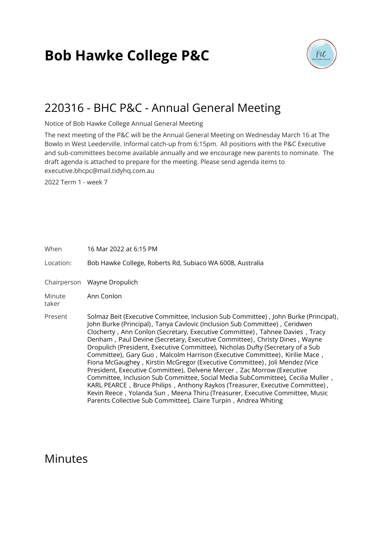# **Bob Hawke College P&C**



### 220316 - BHC P&C - Annual General Meeting

Notice of Bob Hawke College Annual General Meeting

The next meeting of the P&C will be the Annual General Meeting on Wednesday March 16 at The Bowlo in West Leederville. Informal catch-up from 6:15pm. All positions with the P&C Executive and sub-committees become available annually and we encourage new parents to nominate. The draft agenda is attached to prepare for the meeting. Please send agenda items to executive.bhcpc@mail.tidyhq.com.au

2022 Term 1 - week 7

When 16 Mar 2022 at 6:15 PM

Location: Bob Hawke College, Roberts Rd, Subiaco WA 6008, Australia

Chairperson Wayne Dropulich

Minute taker Ann Conlon

Present Solmaz Beit (Executive Committee, Inclusion Sub Committee), John Burke (Principal), John Burke (Principal), Tanya Cavlovic (Inclusion Sub Committee) , Ceridwen Clocherty , Ann Conlon (Secretary, Executive Committee) , Tahnee Davies , Tracy Denham , Paul Devine (Secretary, Executive Committee) , Christy Dines , Wayne Dropulich (President, Executive Committee), Nicholas Dufty (Secretary of a Sub Committee), Gary Guo, Malcolm Harrison (Executive Committee), Kirilie Mace, Fiona McGaughey , Kirstin McGregor (Executive Committee) , Joli Mendez (Vice President, Executive Committee), Delvene Mercer , Zac Morrow (Executive Committee, Inclusion Sub Committee, Social Media SubCommittee), Cecilia Muller , KARL PEARCE , Bruce Philips , Anthony Raykos (Treasurer, Executive Committee) , Kevin Reece , Yolanda Sun , Meena Thiru (Treasurer, Executive Committee, Music Parents Collective Sub Committee), Claire Turpin , Andrea Whiting

### Minutes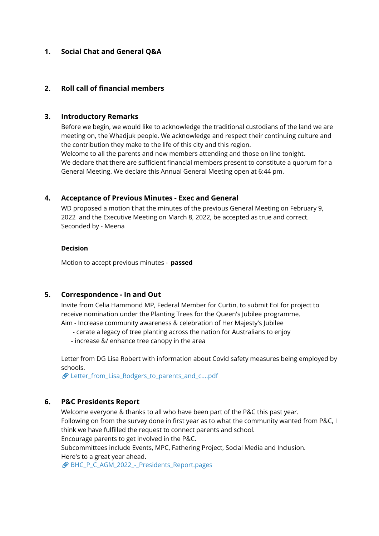#### **1. Social Chat and General Q&A**

#### **2. Roll call of financial members**

#### **3. Introductory Remarks**

Before we begin, we would like to acknowledge the traditional custodians of the land we are meeting on, the Whadjuk people. We acknowledge and respect their continuing culture and the contribution they make to the life of this city and this region. Welcome to all the parents and new members attending and those on line tonight.

We declare that there are sufficient financial members present to constitute a quorum for a General Meeting. We declare this Annual General Meeting open at 6:44 pm.

#### **4. Acceptance of Previous Minutes - Exec and General**

WD proposed a motion t hat the minutes of the previous General Meeting on February 9, 2022 and the Executive Meeting on March 8, 2022, be accepted as true and correct. Seconded by - Meena

#### **Decision**

Motion to accept previous minutes - **passed**

#### **5. Correspondence - In and Out**

Invite from Celia Hammond MP, Federal Member for Curtin, to submit EoI for project to receive nomination under the Planting Trees for the Queen's Jubilee programme. Aim - Increase community awareness & celebration of Her Majesty's Jubilee

- cerate a legacy of tree planting across the nation for Australians to enjoy
- increase &/ enhance tree canopy in the area

Letter from DG Lisa Robert with information about Covid safety measures being employed by schools.

[Letter\\_from\\_Lisa\\_Rodgers\\_to\\_parents\\_and\\_c....pdf](https://s3.tidyhq.com/orgs/b5f25cff9c5e/attachments/1826d95ed5c75d0ff0f26de08d7d89c2421b7e17/Letter_from_Lisa_Rodgers_to_parents_and_caregivers_3_March_2022.pdf)

#### **6. P&C Presidents Report**

Welcome everyone & thanks to all who have been part of the P&C this past year. Following on from the survey done in first year as to what the community wanted from P&C, I think we have fulfilled the request to connect parents and school.

Encourage parents to get involved in the P&C.

Subcommittees include Events, MPC, Fathering Project, Social Media and Inclusion. Here's to a great year ahead.

[BHC\\_P\\_C\\_AGM\\_2022\\_-\\_Presidents\\_Report.pages](https://s3.tidyhq.com/orgs/b5f25cff9c5e/attachments/ab303f769ea8345aab7ffa77488960b6cf05528f/BHC_P_C_AGM_2022_-_Presidents_Report.pages)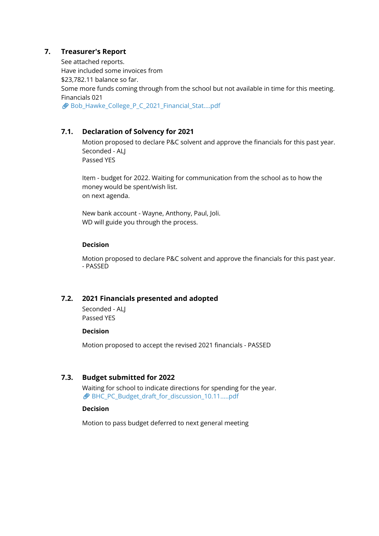#### **7. Treasurer's Report**

See attached reports. Have included some invoices from \$23,782.11 balance so far. Some more funds coming through from the school but not available in time for this meeting. Financials 021 [Bob\\_Hawke\\_College\\_P\\_C\\_2021\\_Financial\\_Stat....pdf](https://s3.tidyhq.com/orgs/b5f25cff9c5e/attachments/4418eda87010584e974fdc375bd4ef93c2fb2da1/Bob_Hawke_College_P_C_2021_Financial_Statements_Revised.pdf)

#### **7.1. Declaration of Solvency for 2021**

Motion proposed to declare P&C solvent and approve the financials for this past year. Seconded - ALL Passed YES

Item - budget for 2022. Waiting for communication from the school as to how the money would be spent/wish list. on next agenda.

New bank account - Wayne, Anthony, Paul, Joli. WD will guide you through the process.

#### **Decision**

Motion proposed to declare P&C solvent and approve the financials for this past year. - PASSED

#### **7.2. 2021 Financials presented and adopted**

Seconded - ALJ Passed YES

#### **Decision**

Motion proposed to accept the revised 2021 financials - PASSED

#### **7.3. Budget submitted for 2022**

Waiting for school to indicate directions for spending for the year. [BHC\\_PC\\_Budget\\_draft\\_for\\_discussion\\_10.11.....pdf](https://s3.tidyhq.com/orgs/b5f25cff9c5e/attachments/ad852a95b61098291c6f144d0c4e66128adcd182/BHC_PC_Budget_draft_for_discussion_10.11.2021.pdf)

#### **Decision**

Motion to pass budget deferred to next general meeting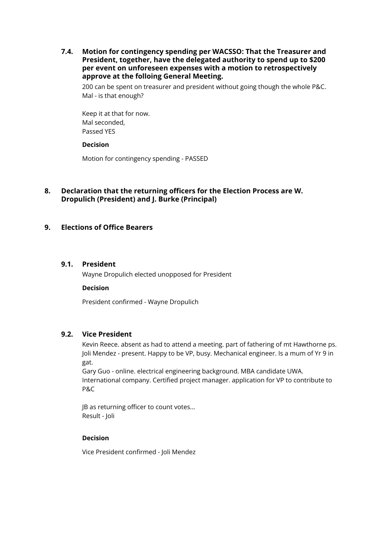**7.4. Motion for contingency spending per WACSSO: That the Treasurer and President, together, have the delegated authority to spend up to \$200 per event on unforeseen expenses with a motion to retrospectively approve at the folloing General Meeting.**

200 can be spent on treasurer and president without going though the whole P&C. Mal - is that enough?

Keep it at that for now. Mal seconded, Passed YES

#### **Decision**

Motion for contingency spending - PASSED

#### **8. Declaration that the returning officers for the Election Process are W. Dropulich (President) and J. Burke (Principal)**

#### **9. Elections of Office Bearers**

#### **9.1. President**

Wayne Dropulich elected unopposed for President

#### **Decision**

President confirmed - Wayne Dropulich

#### **9.2. Vice President**

Kevin Reece. absent as had to attend a meeting. part of fathering of mt Hawthorne ps. Joli Mendez - present. Happy to be VP, busy. Mechanical engineer. Is a mum of Yr 9 in gat.

Gary Guo - online. electrical engineering background. MBA candidate UWA. International company. Certified project manager. application for VP to contribute to P&C

JB as returning officer to count votes... Result - Joli

#### **Decision**

Vice President confirmed - Joli Mendez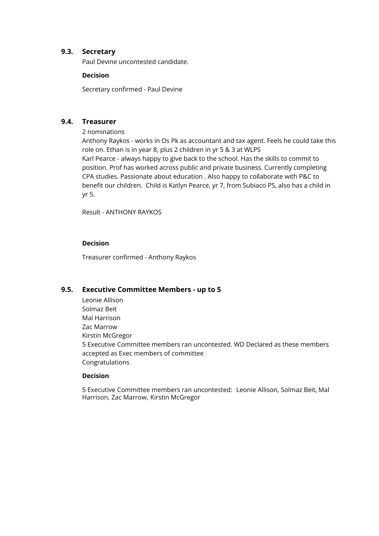#### **9.3. Secretary**

Paul Devine uncontested candidate.

#### **Decision**

Secretary confirmed - Paul Devine

#### **9.4. Treasurer**

2 nominations

Anthony Raykos - works in Os Pk as accountant and tax agent. Feels he could take this role on. Ethan is in year 8, plus 2 children in yr 5 & 3 at WLPS Karl Pearce - always happy to give back to the school. Has the skills to commit to position. Prof has worked across public and private business. Currently completing CPA studies. Passionate about education . Also happy to collaborate with P&C to benefit our children. Child is Katlyn Pearce, yr 7, from Subiaco PS, also has a child in yr 5.

Result - ANTHONY RAYKOS

#### **Decision**

Treasurer confirmed - Anthony Raykos

#### **9.5. Executive Committee Members - up to 5**

Leonie Allison Solmaz Beit Mal Harrison Zac Marrow Kirstin McGregor 5 Executive Committee members ran uncontested. WD Declared as these members accepted as Exec members of committee Congratulations

#### **Decision**

5 Executive Committee members ran uncontested: Leonie Allison, Solmaz Beit, Mal Harrison, Zac Marrow, Kirstin McGregor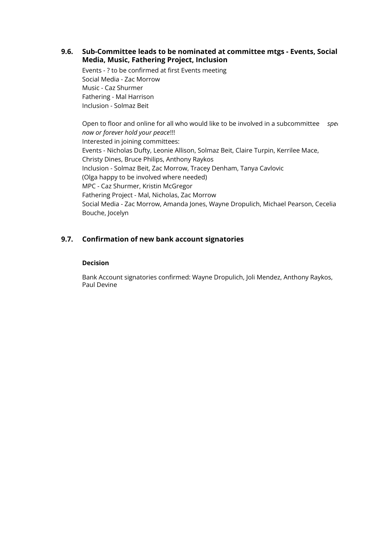**9.6. Sub-Committee leads to be nominated at committee mtgs - Events, Social Media, Music, Fathering Project, Inclusion**

Events - ? to be confirmed at first Events meeting Social Media - Zac Morrow Music - Caz Shurmer Fathering - Mal Harrison Inclusion - Solmaz Beit

Open to floor and online for all who would like to be involved in a subcommittee *spei now or forever hold your peace*!!! Interested in joining committees: Events - Nicholas Dufty, Leonie Allison, Solmaz Beit, Claire Turpin, Kerrilee Mace, Christy Dines, Bruce Philips, Anthony Raykos Inclusion - Solmaz Beit, Zac Morrow, Tracey Denham, Tanya Cavlovic (Olga happy to be involved where needed) MPC - Caz Shurmer, Kristin McGregor Fathering Project - Mal, Nicholas, Zac Morrow Social Media - Zac Morrow, Amanda Jones, Wayne Dropulich, Michael Pearson, Cecelia Bouche, Jocelyn

#### **9.7. Confirmation of new bank account signatories**

#### **Decision**

Bank Account signatories confirmed: Wayne Dropulich, Joli Mendez, Anthony Raykos, Paul Devine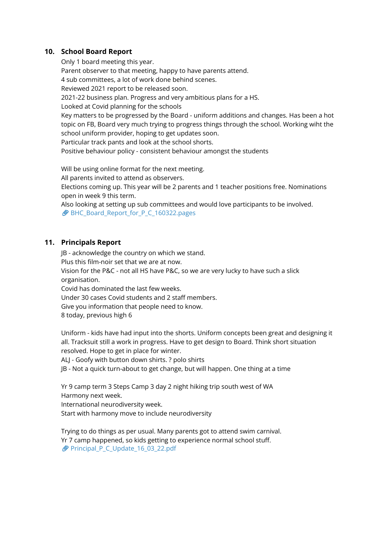#### **10. School Board Report**

Only 1 board meeting this year. Parent observer to that meeting, happy to have parents attend. 4 sub committees, a lot of work done behind scenes. Reviewed 2021 report to be released soon. 2021-22 business plan. Progress and very ambitious plans for a HS. Looked at Covid planning for the schools Key matters to be progressed by the Board - uniform additions and changes. Has been a hot topic on FB, Board very much trying to progress things through the school. Working wiht the school uniform provider, hoping to get updates soon. Particular track pants and look at the school shorts. Positive behaviour policy - consistent behaviour amongst the students

Will be using online format for the next meeting.

All parents invited to attend as observers.

Elections coming up. This year will be 2 parents and 1 teacher positions free. Nominations open in week 9 this term.

Also looking at setting up sub committees and would love participants to be involved. [BHC\\_Board\\_Report\\_for\\_P\\_C\\_160322.pages](https://s3.tidyhq.com/orgs/b5f25cff9c5e/attachments/395e23a56a196e3149e53d207fd693dec46f701d/BHC_Board_Report_for_P_C_160322.pages)

#### **11. Principals Report**

JB - acknowledge the country on which we stand. Plus this film-noir set that we are at now. Vision for the P&C - not all HS have P&C, so we are very lucky to have such a slick organisation. Covid has dominated the last few weeks. Under 30 cases Covid students and 2 staff members. Give you information that people need to know.

8 today, previous high 6

Uniform - kids have had input into the shorts. Uniform concepts been great and designing it all. Tracksuit still a work in progress. Have to get design to Board. Think short situation resolved. Hope to get in place for winter.

ALJ - Goofy with button down shirts. ? polo shirts

JB - Not a quick turn-about to get change, but will happen. One thing at a time

Yr 9 camp term 3 Steps Camp 3 day 2 night hiking trip south west of WA Harmony next week.

International neurodiversity week.

Start with harmony move to include neurodiversity

Trying to do things as per usual. Many parents got to attend swim carnival. Yr 7 camp happened, so kids getting to experience normal school stuff. Principal P C Update 16 03 22.pdf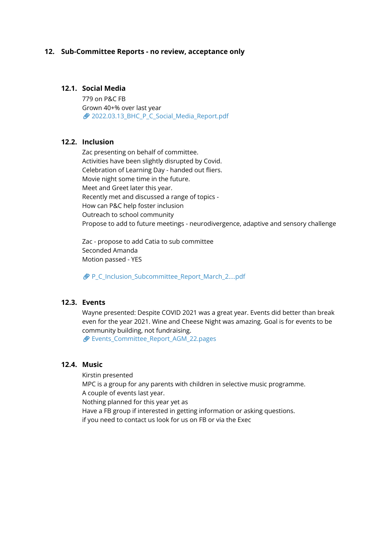#### **12. Sub-Committee Reports - no review, acceptance only**

#### **12.1. Social Media**

779 on P&C FB Grown 40+% over last year 2022.03.13 BHC P C Social Media Report.pdf

#### **12.2. Inclusion**

Zac presenting on behalf of committee. Activities have been slightly disrupted by Covid. Celebration of Learning Day - handed out fliers. Movie night some time in the future. Meet and Greet later this year. Recently met and discussed a range of topics - How can P&C help foster inclusion Outreach to school community Propose to add to future meetings - neurodivergence, adaptive and sensory challenge

Zac - propose to add Catia to sub committee Seconded Amanda Motion passed - YES

[P\\_C\\_Inclusion\\_Subcommittee\\_Report\\_March\\_2....pdf](https://s3.tidyhq.com/orgs/b5f25cff9c5e/attachments/e15cce3cde7dcd9e5a264b85a13bb551ace53a32/P_C_Inclusion_Subcommittee_Report_March_2022_%25283%2529_%25281%2529.pdf)

#### **12.3. Events**

Wayne presented: Despite COVID 2021 was a great year. Events did better than break even for the year 2021. Wine and Cheese Night was amazing. Goal is for events to be community building, not fundraising.

[Events\\_Committee\\_Report\\_AGM\\_22.pages](https://s3.tidyhq.com/orgs/b5f25cff9c5e/attachments/0d3457c96380714e8286a19f2847671ac5c6ee69/Events_Committee_Report_AGM_22.pages)

#### **12.4. Music**

Kirstin presented MPC is a group for any parents with children in selective music programme. A couple of events last year. Nothing planned for this year yet as Have a FB group if interested in getting information or asking questions. if you need to contact us look for us on FB or via the Exec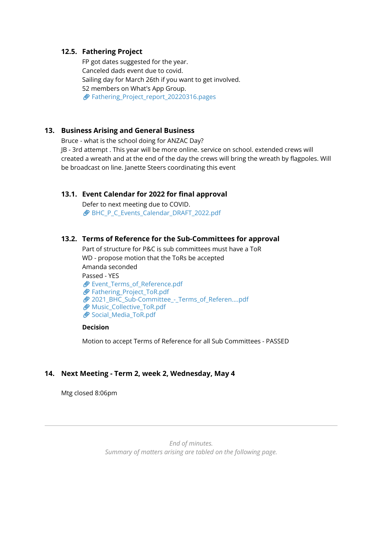#### **12.5. Fathering Project**

FP got dates suggested for the year. Canceled dads event due to covid. Sailing day for March 26th if you want to get involved. 52 members on What's App Group. [Fathering\\_Project\\_report\\_20220316.pages](https://s3.tidyhq.com/orgs/b5f25cff9c5e/attachments/9a8e66a8be8aea39a3c48185f9a7740a6a2db3ee/Fathering_Project_report_20220316.pages)

#### **13. Business Arising and General Business**

Bruce - what is the school doing for ANZAC Day?

JB - 3rd attempt . This year will be more online. service on school. extended crews will created a wreath and at the end of the day the crews will bring the wreath by flagpoles. Will be broadcast on line. Janette Steers coordinating this event

#### **13.1. Event Calendar for 2022 for final approval**

Defer to next meeting due to COVID. BHC P C Events Calendar DRAFT 2022.pdf

#### **13.2. Terms of Reference for the Sub-Committees for approval**

Part of structure for P&C is sub committees must have a ToR WD - propose motion that the ToRs be accepted Amanda seconded Passed - YES **Event Terms of Reference.pdf** [Fathering\\_Project\\_ToR.pdf](https://s3.tidyhq.com/orgs/b5f25cff9c5e/attachments/e65c2d152fc60f5f8e16d03277f9c7b977d2f6fd/Fathering_Project_ToR.pdf) [2021\\_BHC\\_Sub-Committee\\_-\\_Terms\\_of\\_Referen....pdf](https://s3.tidyhq.com/orgs/b5f25cff9c5e/attachments/9830b227eb5f5c499f999165996fb126f6481902/2021_BHC_Sub-Committee_-_Terms_of_Reference_-_Inclusion.pdf) *Music Collective ToR.pdf* [Social\\_Media\\_ToR.pdf](https://s3.tidyhq.com/orgs/b5f25cff9c5e/attachments/1ad4f7e94ba883518f976bbb9ef0f78c27a96642/Social_Media_ToR.pdf)

#### **Decision**

Motion to accept Terms of Reference for all Sub Committees - PASSED

#### **14. Next Meeting - Term 2, week 2, Wednesday, May 4**

Mtg closed 8:06pm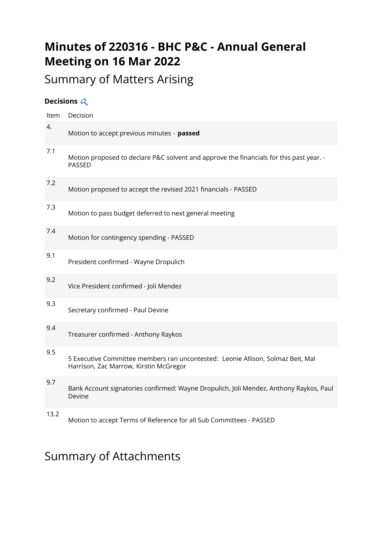## **Minutes of 220316 - BHC P&C - Annual General Meeting on 16 Mar 2022**

# Summary of Matters Arising

### **Decisions**

| Item | Decision                                                                                                                  |
|------|---------------------------------------------------------------------------------------------------------------------------|
| 4.   | Motion to accept previous minutes - passed                                                                                |
| 7.1  | Motion proposed to declare P&C solvent and approve the financials for this past year. -<br>PASSED                         |
| 7.2  | Motion proposed to accept the revised 2021 financials - PASSED                                                            |
| 7.3  | Motion to pass budget deferred to next general meeting                                                                    |
| 7.4  | Motion for contingency spending - PASSED                                                                                  |
| 9.1  | President confirmed - Wayne Dropulich                                                                                     |
| 9.2  | Vice President confirmed - Joli Mendez                                                                                    |
| 9.3  | Secretary confirmed - Paul Devine                                                                                         |
| 9.4  | Treasurer confirmed - Anthony Raykos                                                                                      |
| 9.5  | 5 Executive Committee members ran uncontested: Leonie Allison, Solmaz Beit, Mal<br>Harrison, Zac Marrow, Kirstin McGregor |
| 9.7  | Bank Account signatories confirmed: Wayne Dropulich, Joli Mendez, Anthony Raykos, Paul<br>Devine                          |
| 13.2 | Motion to accept Terms of Reference for all Sub Committees - PASSED                                                       |

## Summary of Attachments